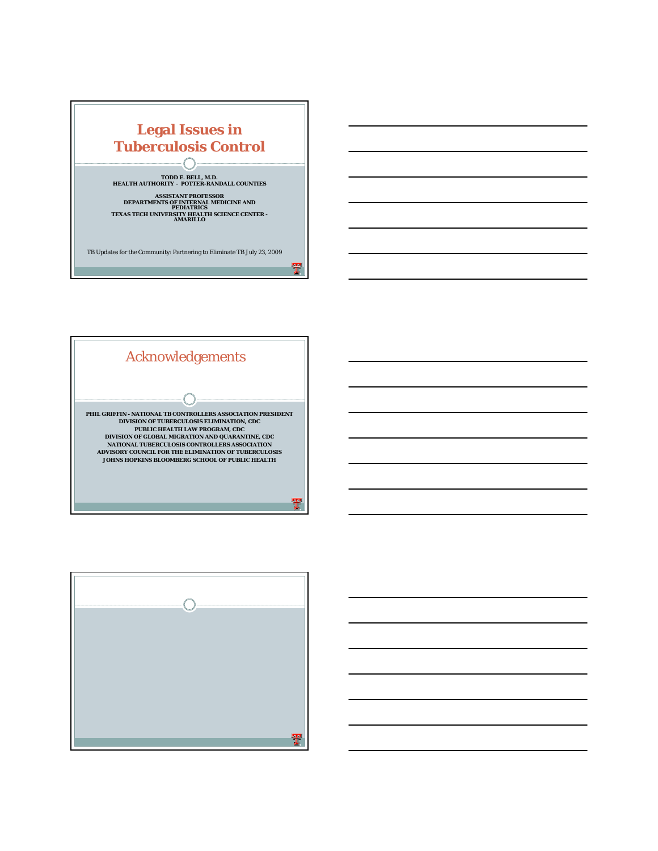



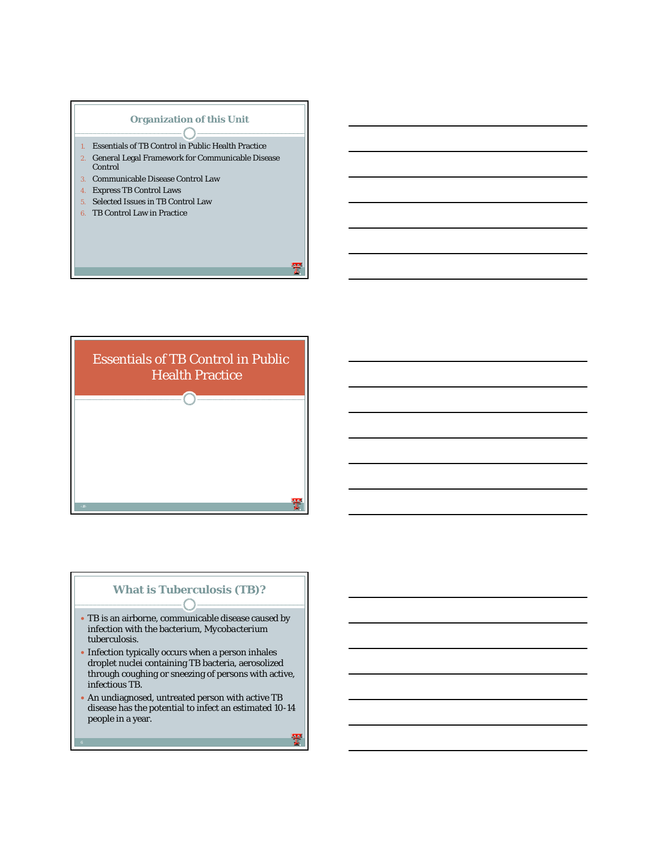#### **Organization of this Unit**  $\bigcap$

- 1. Essentials of TB Control in Public Health Practice
- 2. General Legal Framework for Communicable Disease Control
- 3. Communicable Disease Control Law
- 4. Express TB Control Laws
- 5. Selected Issues in TB Control Law
- 6. TB Control Law in Practice



#### **What is Tuberculosis (TB)?**€

- TB is an airborne, communicable disease caused by infection with the bacterium, *Mycobacterium tuberculosis*.
- Infection typically occurs when a person inhales droplet nuclei containing TB bacteria, aerosolized through coughing or sneezing of persons with active, infectious TB.
- An undiagnosed, untreated person with active TB disease has the potential to infect an estimated 10-14 people in a year.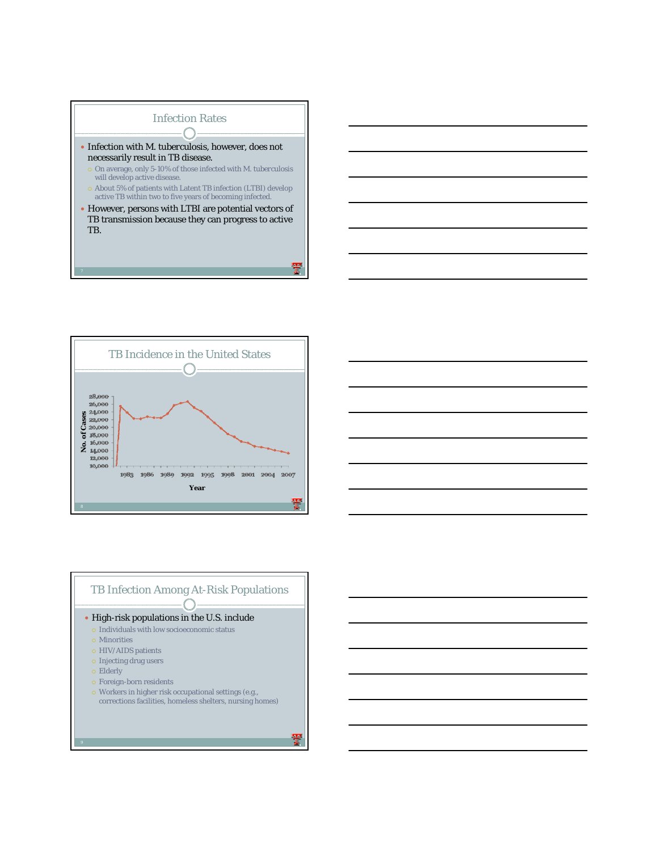



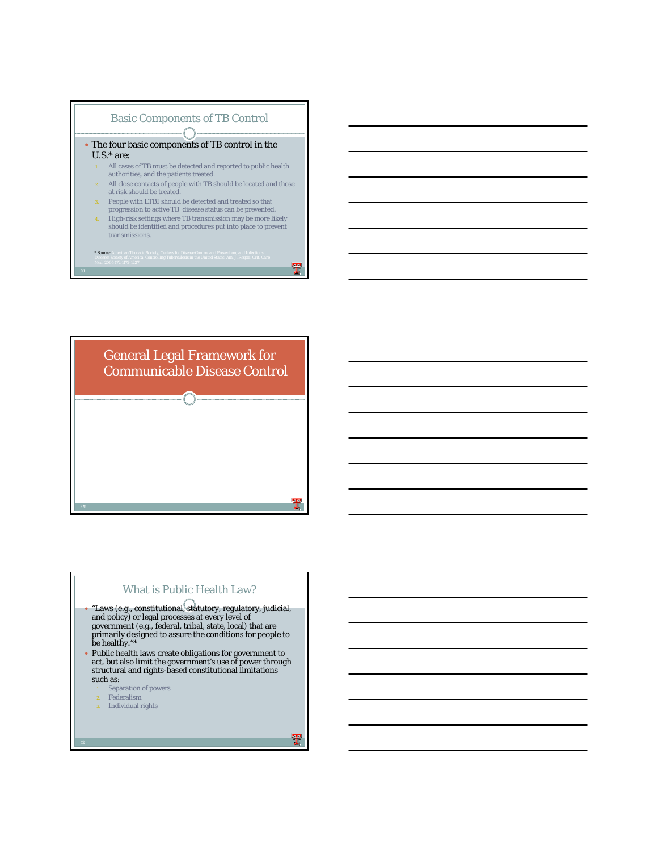



# What is Public Health Law?

y "Laws (e.g., constitutional, statutory, regulatory, judicial, and policy) or legal processes at every level of government (e.g., federal, tribal, state, local) that are primarily designed to assure the conditions for people to be healthy."\* y Public health laws create obligations for government to act, but also limit the government's use of power through structural and rights-based constitutional limitations such as: Separation of powers Federalism 3. Individual rights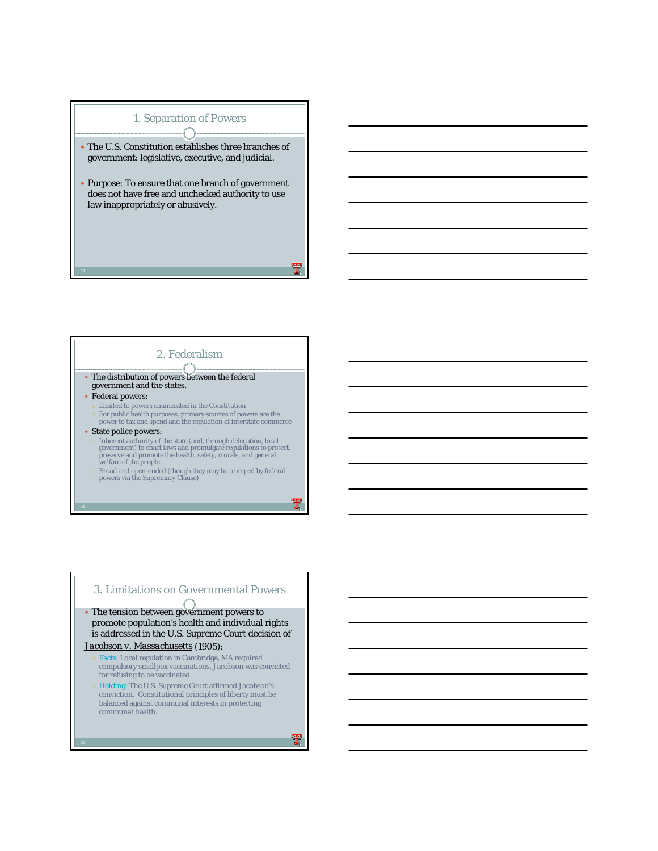

# 2. Federalism

- The distribution of powers between the federal government and the states.
- Federal powers:
- { Limited to powers enumerated in the Constitution
- { For public health purposes, primary sources of powers are the power to tax and spend and the regulation of interstate commerce
- $\bullet$  State police powers:
	- { Inherent authority of the state (and, through delegation, local government) to enact laws and promulgate regulations to protect, preserve and promote the health, safety, morals, and general welfare of the people
- $\circ$  Broad and open-ended (though they may be trumped by federal powers via the Supremacy Clause)

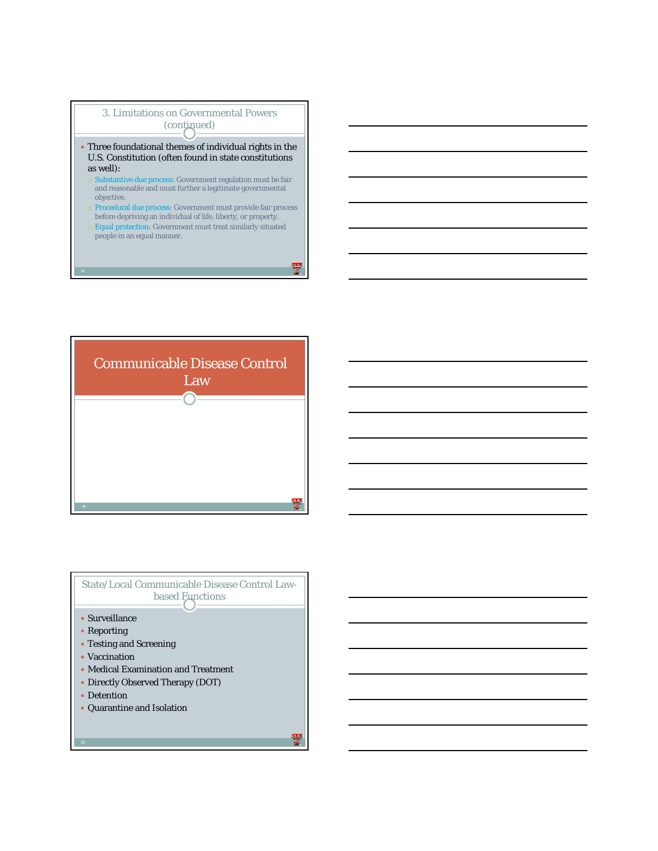

- Three foundational themes of individual rights in the U.S. Constitution (often found in state constitutions as well):
	- $\circ$  Substantive due process: Government regulation must be fair and reasonable and must further a legitimate governmental objective.
	- { Procedural due process: Government must provide fair process before depriving an individual of life, liberty, or property.
	- { Equal protection: Government must treat similarly situated people in an equal manner.



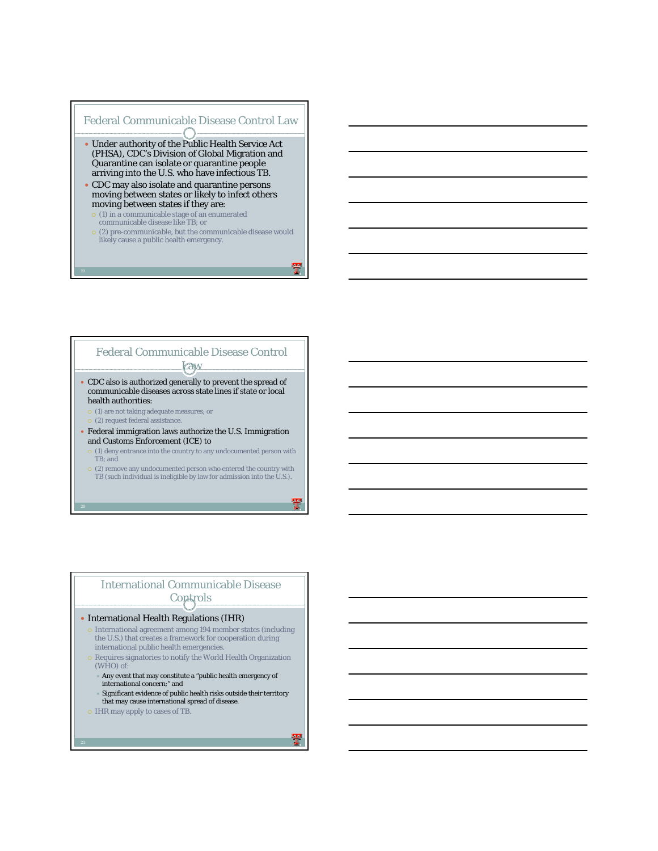



## International Communicable Disease **Controls**

#### • International Health Regulations (IHR)

- **International agreement among 194 member states (including** the U.S.) that creates a framework for cooperation during international public health emergencies.
- Requires signatories to notify the World Health Organization (WHO) of:
	- Any event that may constitute a "public health emergency of international concern;" and
	- Ù Significant evidence of public health risks outside their territory that may cause international spread of disease.
- { IHR may apply to cases of TB.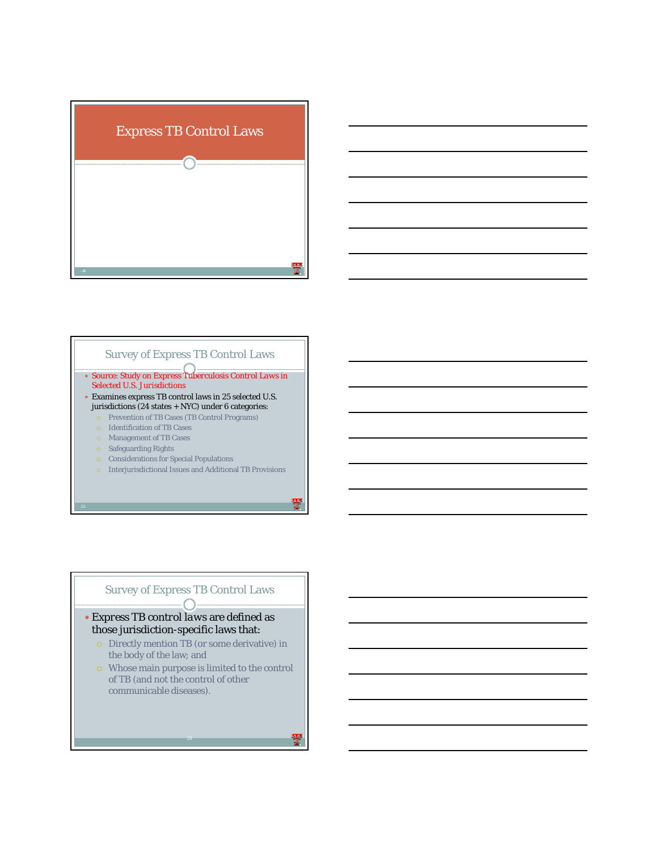



#### y Source: Study on *Express Tuberculosis Control Laws in Selected U.S. Jurisdictions* y Examines express TB control laws in 25 selected U.S. jurisdictions (24 states + NYC) under 6 categories: { Prevention of TB Cases (TB Control Programs) { Identification of TB Cases { Management of TB Cases { Safeguarding Rights Survey of Express TB Control Laws

- 
- { Considerations for Special Populations
- { Interjurisdictional Issues and Additional TB Provisions

#### Survey of Express TB Control Laws  $-\bigcap$

## y *Express TB control laws* are defined as those jurisdiction-specific laws that:

- { Directly mention TB (or some derivative) in the body of the law; and
- { Whose main purpose is limited to the control of TB (and not the control of other communicable diseases).

24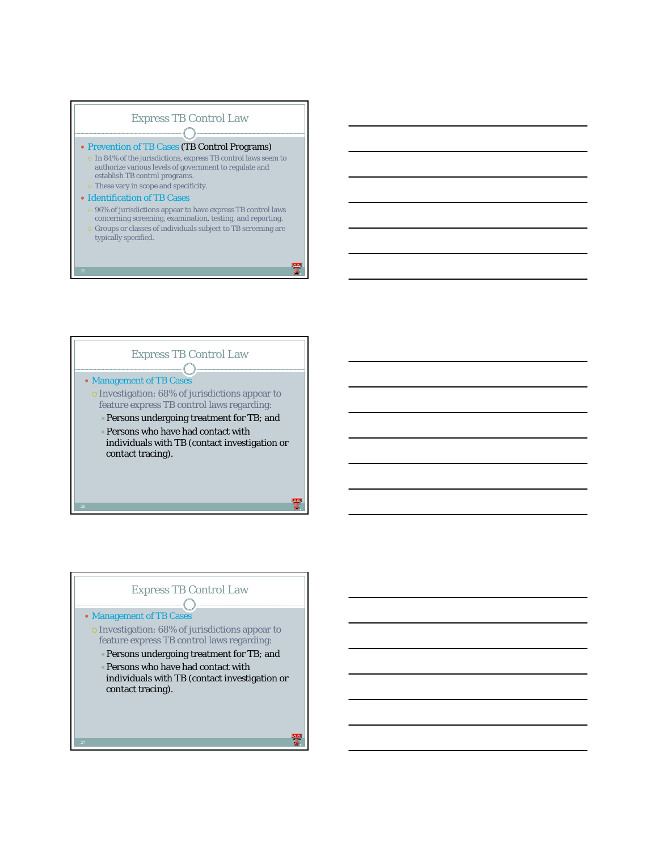



#### Express TB Control Law $-\bigcap$

#### • Management of TB Cases

- { Investigation: 68% of jurisdictions appear to feature express TB control laws regarding:
	- $\triangle$  Persons undergoing treatment for TB; and
	- $\times$  Persons who have had contact with
	- individuals with TB (contact investigation or contact tracing).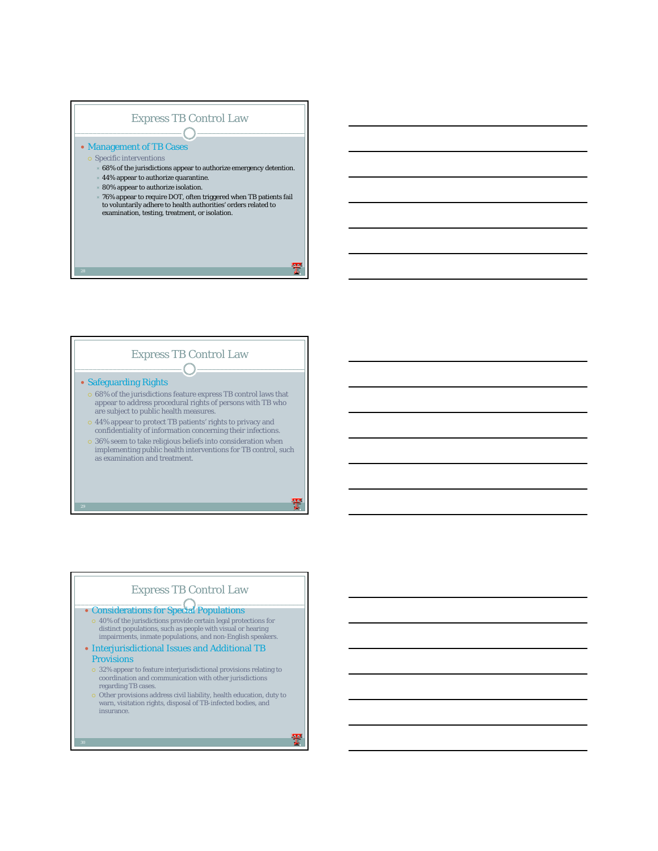



## Express TB Control Law

• Considerations for Special Populations

- $\circ$  40% of the jurisdictions provide certain legal protections for distinct populations, such as people with visual or hearing impairments, inmate populations, and non-English speakers.
- Interjurisdictional Issues and Additional TB Provisions
- { 32% appear to feature interjurisdictional provisions relating to coordination and communication with other jurisdictions regarding TB cases.
- $\circ$  Other provisions address civil liability, health education, duty to warn, visitation rights, disposal of TB-infected bodies, and insurance.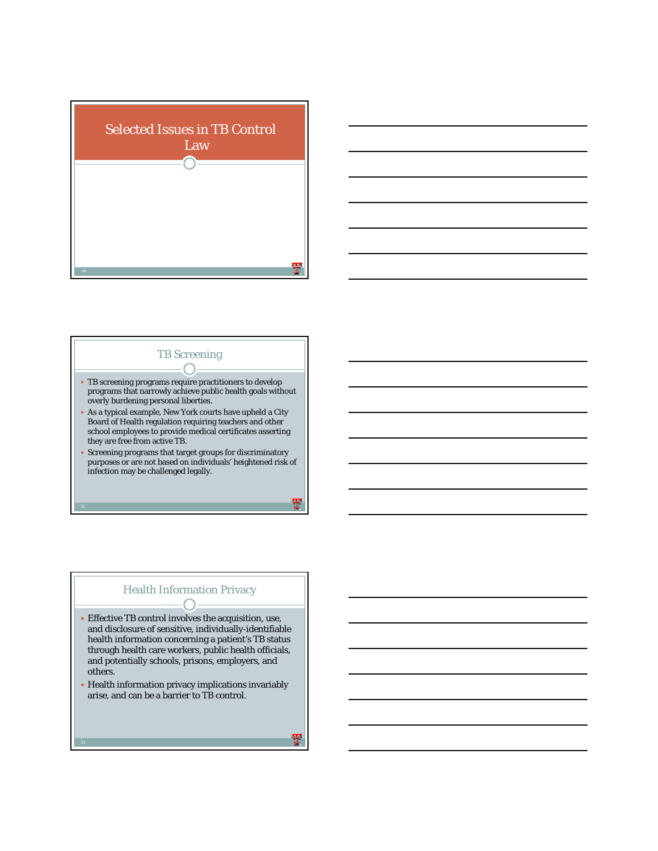



# $\bullet$  TB screening programs require practitioners to develop programs that narrowly achieve public health goals without overly burdening personal liberties. y As a typical example, New York courts have upheld a City Board of Health regulation requiring teachers and other school employees to provide medical certificates asserting they are free from active TB. • Screening programs that target groups for discriminatory purposes or are not based on individuals' heightened risk of infection may be challenged legally. TB Screening

#### Health Information Privacy€

- Effective TB control involves the acquisition, use, and disclosure of sensitive, individually-identifiable health information concerning a patient's TB status through health care workers, public health officials, and potentially schools, prisons, employers, and others.
- Health information privacy implications invariably arise, and can be a barrier to TB control.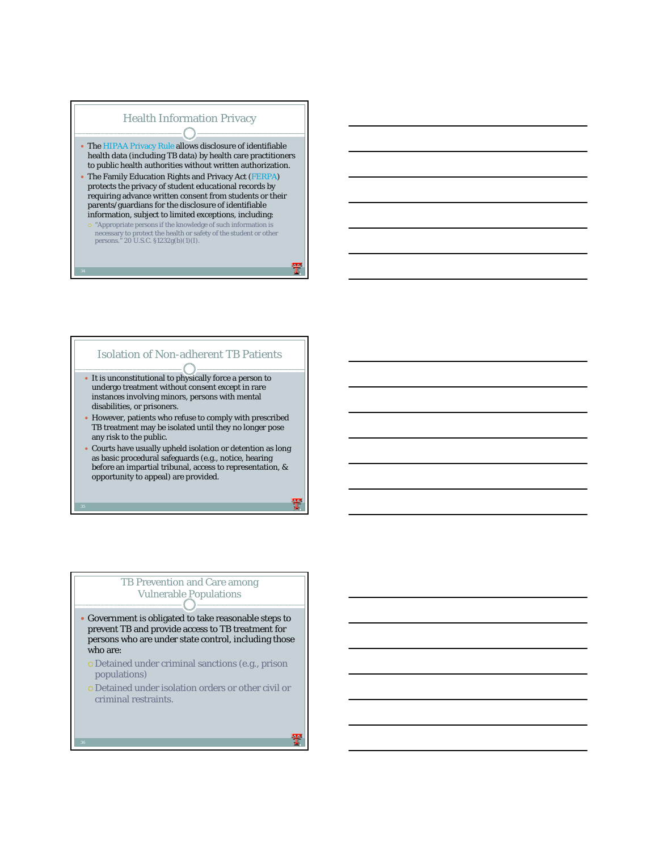

## Isolation of Non-adherent TB Patients

- It is unconstitutional to physically force a person to undergo treatment without consent except in rare instances involving minors, persons with mental disabilities, or prisoners.
- However, patients who refuse to comply with prescribed TB treatment may be isolated until they no longer pose any risk to the public.
- Courts have usually upheld isolation or detention as long as basic procedural safeguards (e.g., notice, hearing before an impartial tribunal, access to representation, & opportunity to appeal) are provided.

## TB Prevention and Care among Vulnerable Populations

- Government is obligated to take reasonable steps to prevent TB and provide access to TB treatment for persons who are under state control, including those who are:
	- { Detained under criminal sanctions (e.g., prison populations)
	- { Detained under isolation orders or other civil or criminal restraints.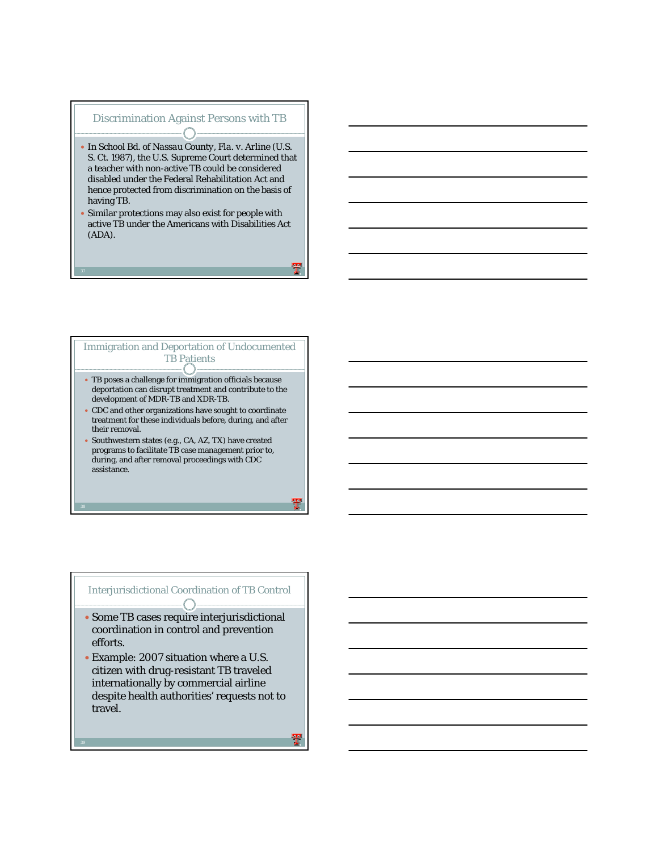# Discrimination Against Persons with TB

- y In *School Bd. of Nassau County, Fla. v. Arline* (U.S. S. Ct. 1987), the U.S. Supreme Court determined that a teacher with non-active TB could be considered disabled under the Federal Rehabilitation Act and hence protected from discrimination on the basis of having TB.
- Similar protections may also exist for people with active TB under the Americans with Disabilities Act (ADA).



## Interjurisdictional Coordination of TB Control

- Some TB cases require interjurisdictional coordination in control and prevention efforts.
- Example: 2007 situation where a U.S. citizen with drug-resistant TB traveled internationally by commercial airline despite health authorities' requests not to travel.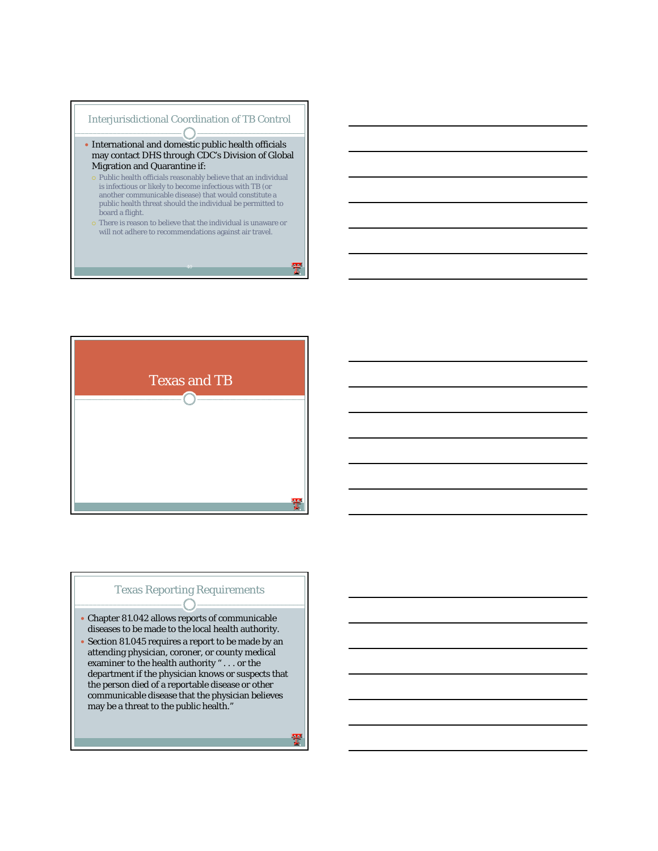



# Texas Reporting Requirements

- Chapter 81.042 allows reports of communicable diseases to be made to the local health authority.
- Section 81.045 requires a report to be made by an attending physician, coroner, or county medical examiner to the health authority " . . . or the department if the physician knows or suspects that the person died of a reportable disease or other communicable disease that the physician believes may be a threat to the public health."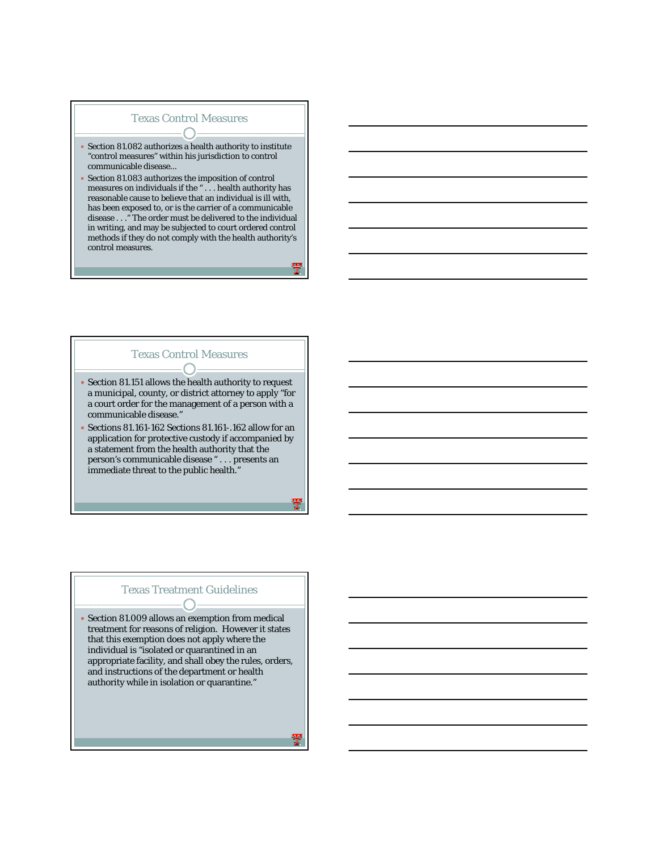## Texas Control Measures

- Section 81.082 authorizes a health authority to institute "control measures" within his jurisdiction to control communicable disease...
- Section 81.083 authorizes the imposition of control measures on individuals if the "  $\ldots$  health authority has reasonable cause to believe that an individual is ill with, has been exposed to, or is the carrier of a communicable disease . . ." The order must be delivered to the individual in writing, and may be subjected to court ordered control methods if they do not comply with the health authority's control measures.

### Texas Control Measures

• Section 81.151 allows the health authority to request a municipal, county, or district attorney to apply "for a court order for the management of a person with a communicable disease."

- (

y Sections 81.161-162 Sections 81.161-.162 allow for an application for protective custody if accompanied by a statement from the health authority that the person's communicable disease " . . . presents an immediate threat to the public health."

#### Texas Treatment Guidelines  $\overline{\phantom{a}}$

 $\bullet$  Section 81.009 allows an exemption from medical treatment for reasons of religion. However it states that this exemption does not apply where the individual is "isolated or quarantined in an appropriate facility, and shall obey the rules, orders, and instructions of the department or health authority while in isolation or quarantine."